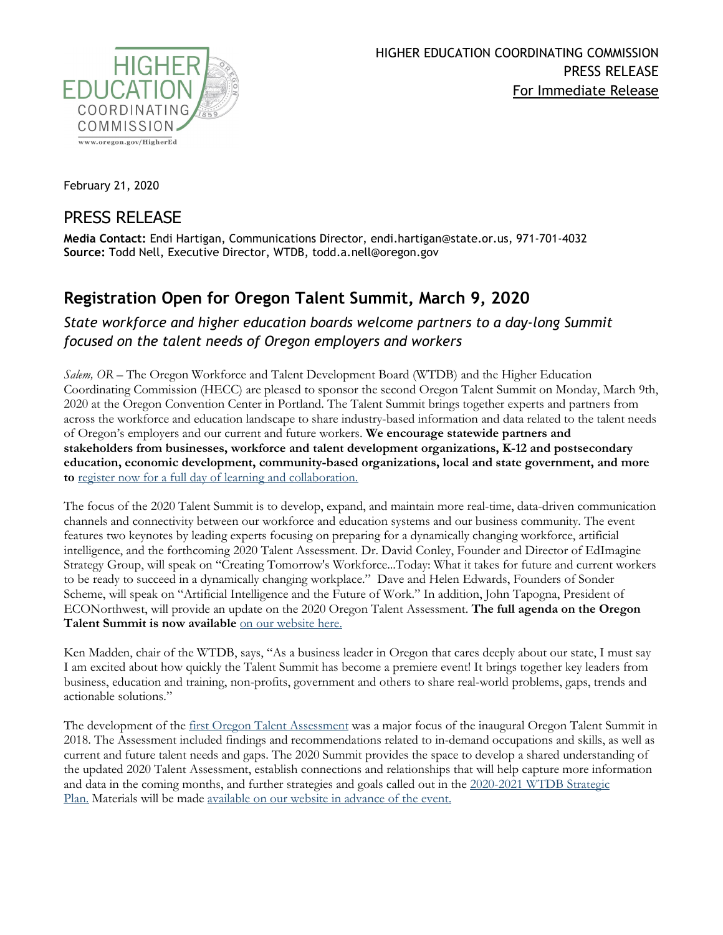

February 21, 2020

## PRESS RELEASE

**Media Contact:** Endi Hartigan, Communications Director, endi.hartigan@state.or.us, 971-701-4032 **Source:** Todd Nell, Executive Director, WTDB, todd.a.nell@oregon.gov

## **Registration Open for Oregon Talent Summit, March 9, 2020**

## *State workforce and higher education boards welcome partners to a day-long Summit focused on the talent needs of Oregon employers and workers*

*Salem, OR –* The Oregon Workforce and Talent Development Board (WTDB) and the Higher Education Coordinating Commission (HECC) are pleased to sponsor the second Oregon Talent Summit on Monday, March 9th, 2020 at the Oregon Convention Center in Portland. The Talent Summit brings together experts and partners from across the workforce and education landscape to share industry-based information and data related to the talent needs of Oregon's employers and our current and future workers. **We encourage statewide partners and stakeholders from businesses, workforce and talent development organizations, K-12 and postsecondary education, economic development, community-based organizations, local and state government, and more to** [register now for a full day of learning and collaboration.](https://classactevents.us4.list-manage.com/track/click?u=d5b0536ba9eaf95feb58cb6a3&id=6e9f672c8a&e=f54a59678c)

The focus of the 2020 Talent Summit is to develop, expand, and maintain more real-time, data-driven communication channels and connectivity between our workforce and education systems and our business community. The event features two keynotes by leading experts focusing on preparing for a dynamically changing workforce, artificial intelligence, and the forthcoming 2020 Talent Assessment. Dr. David Conley, Founder and Director of EdImagine Strategy Group, will speak on "Creating Tomorrow's Workforce...Today: What it takes for future and current workers to be ready to succeed in a dynamically changing workplace." Dave and Helen Edwards, Founders of Sonder Scheme, will speak on "Artificial Intelligence and the Future of Work." In addition, John Tapogna, President of ECONorthwest, will provide an update on the 2020 Oregon Talent Assessment. **The full agenda on the Oregon Talent Summit is now available** [on our website here.](https://www.oregon.gov/highered/institutions-programs/workforce/Pages/talent-summit.aspx)

Ken Madden, chair of the WTDB, says, "As a business leader in Oregon that cares deeply about our state, I must say I am excited about how quickly the Talent Summit has become a premiere event! It brings together key leaders from business, education and training, non-profits, government and others to share real-world problems, gaps, trends and actionable solutions."

The development of the [first Oregon Talent Assessment](https://mailchi.mp/state/press-releasestate-releases-oregon-talent-assessment-on-current-and-future-workforce-needs?e=c49bbfd968) was a major focus of the inaugural Oregon Talent Summit in 2018. The Assessment included findings and recommendations related to in-demand occupations and skills, as well as current and future talent needs and gaps. The 2020 Summit provides the space to develop a shared understanding of the updated 2020 Talent Assessment, establish connections and relationships that will help capture more information and data in the coming months, and further strategies and goals called out in the [2020-2021 WTDB Strategic](https://www.oregon.gov/WorkforceBoard/board/Pages/strategicplan.aspx)  [Plan.](https://www.oregon.gov/WorkforceBoard/board/Pages/strategicplan.aspx) Materials will be made [available on our website](https://www.oregon.gov/highered/institutions-programs/workforce/Pages/talent-summit.aspx) in advance of the event.